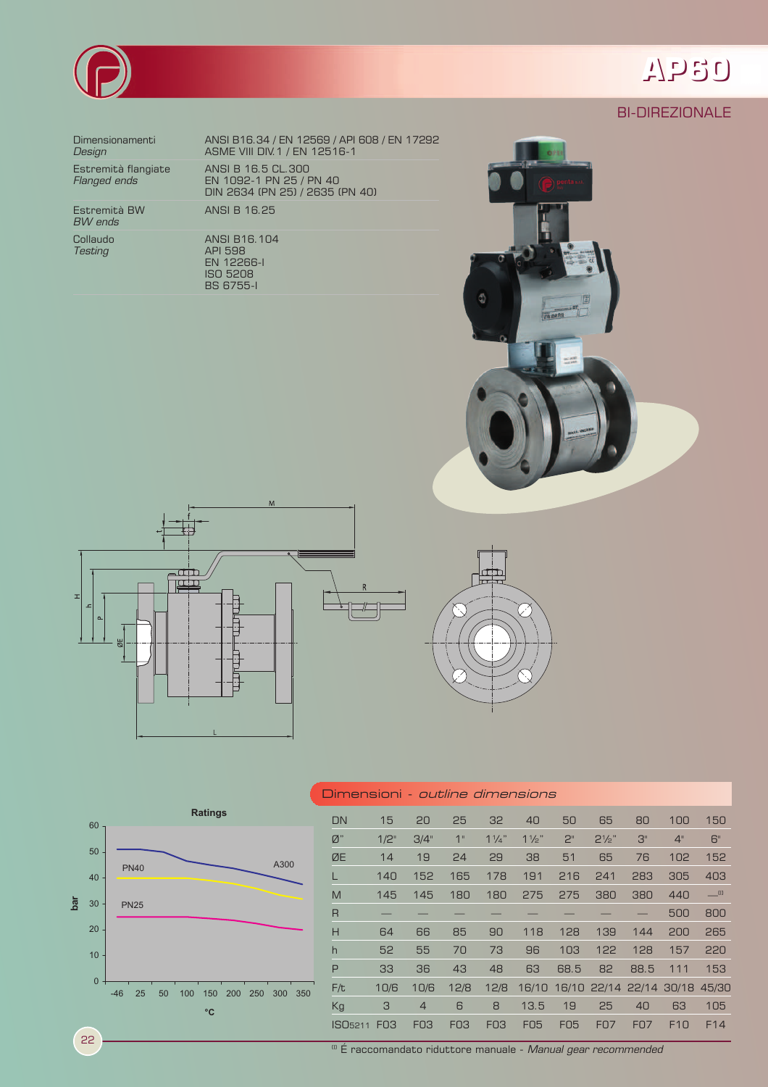

## **AP60**

## BI-DIREZIONALE

*BW ends*

Dimensionamenti ANSI B16.34 / EN 12569 / API 608 / EN 17292 **Design ASME VIII DIV.1 / EN 12516-1** Estremità flangiate ANSI B 16.5 CL.300 *Flanged ends* EN 1092-1 PN 25 / PN 40 DIN 2634 (PN 25) / 2635 (PN 40)

Estremità BW ANSI B 16.25

Collaudo ANSI B16.104 **Testing API 598**  EN 12266-I ISO 5208 BS 6755-I







|     | 60          |       |             |             |    |     | <b>Ratings</b>      |     |     |      |     | $\Box$            |
|-----|-------------|-------|-------------|-------------|----|-----|---------------------|-----|-----|------|-----|-------------------|
|     |             |       |             |             |    |     |                     |     |     |      |     | Ø                 |
| bar | 50          |       | <b>PN40</b> |             |    |     |                     |     |     | A300 |     | Ø                 |
|     | 40          |       |             |             |    |     |                     |     |     |      |     | L                 |
|     | 30          |       |             | <b>PN25</b> |    |     |                     |     |     |      |     | M                 |
|     | 20          |       |             |             |    |     |                     |     |     |      |     | $\overline{R}$    |
|     |             |       |             |             |    |     |                     |     |     |      |     | H<br>$\mathsf{h}$ |
|     | 10          |       |             |             |    |     |                     |     |     |      |     | P                 |
|     | $\mathbf 0$ |       |             |             |    |     |                     |     |     |      |     | F/                |
|     |             | $-46$ |             | 25          | 50 | 100 | 150<br>$^{\circ}$ C | 200 | 250 | 300  | 350 | K <sub>Į</sub>    |
|     |             |       |             |             |    |     |                     |     |     |      |     | . .               |

| Dimensioni <i>- outline dimensions</i> |                 |                 |                 |                 |                |                 |                  |                               |                 |                         |
|----------------------------------------|-----------------|-----------------|-----------------|-----------------|----------------|-----------------|------------------|-------------------------------|-----------------|-------------------------|
| DN                                     | 15              | 20              | 25              | 32              | 40             | 50              | 65               | 80                            | 100             | 150                     |
| Ø"                                     | $1/2$ "         | 3/4"            | 1"              | $1\frac{1}{4}$  | $1\frac{1}{2}$ | 2 <sup>n</sup>  | $2\frac{1}{2}$ " | З"                            | 4"              | 6"                      |
| ØE                                     | 14              | 19              | 24              | 29              | 38             | 51              | 65               | 76                            | 102             | 152                     |
| L                                      | 140             | 152             | 165             | 178             | 191            | 216             | 241              | 283                           | 305             | 403                     |
| M                                      | 145             | 145             | 180             | 180             | 275            | 275             | 380              | 380                           | 440             | $\equiv$ <sup>(l)</sup> |
| R                                      |                 |                 |                 |                 |                |                 |                  |                               | 500             | 800                     |
| Н                                      | 64              | 66              | 85              | 90              | 118            | 128             | 139              | 144                           | 200             | 265                     |
| $\mathsf{h}$                           | 52              | 55              | 70              | 73              | 96             | 103             | 122              | 128                           | 157             | 220                     |
| P                                      | 33              | 36              | 43              | 48              | 63             | 68.5            | 82               | 88.5                          | 111             | 153                     |
| F/t                                    | 10/6            | 10/6            | 12/8            | 12/8            | 16/10          |                 |                  | 16/10 22/14 22/14 30/18 45/30 |                 |                         |
| Kg                                     | 3               | $\overline{4}$  | 6               | 8               | 13.5           | 19              | 25               | 40                            | 63              | 105                     |
| ISO <sub>5211</sub>                    | FO <sub>3</sub> | F <sub>03</sub> | F <sub>03</sub> | F <sub>03</sub> | <b>F05</b>     | F <sub>05</sub> | <b>F07</b>       | <b>FO7</b>                    | F <sub>10</sub> | F <sub>14</sub>         |

22